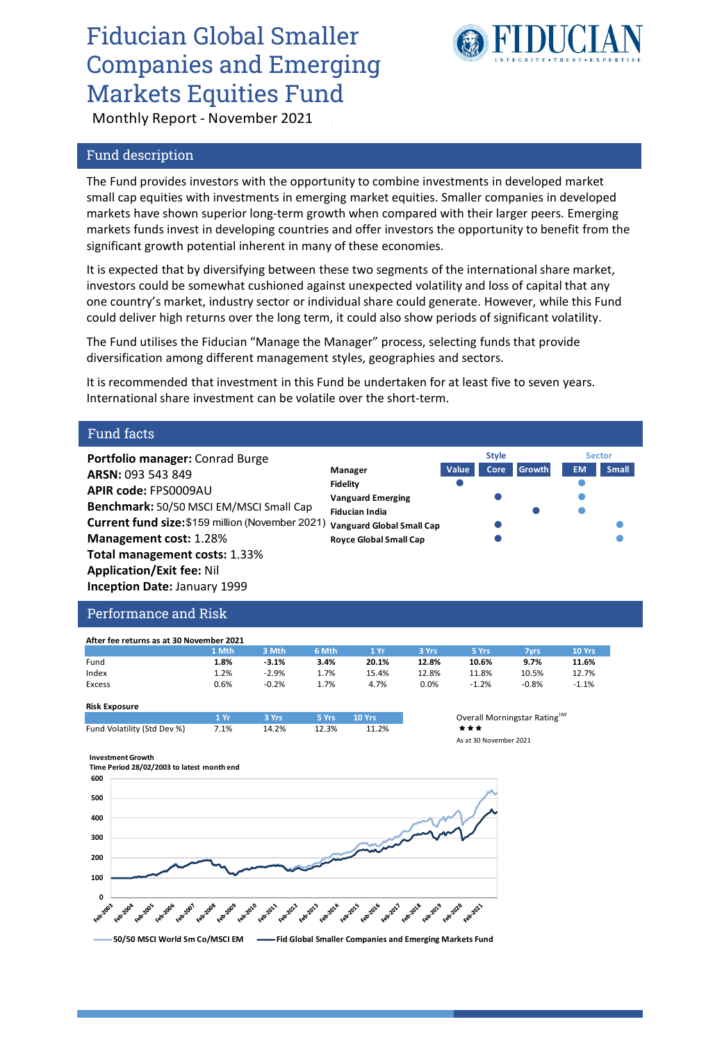# Fiducian Global Smaller Companies and Emerging Markets Equities Fund



**Style Sector**

Monthly Report - November 2021

### Fund description

The Fund provides investors with the opportunity to combine investments in developed market small cap equities with investments in emerging market equities. Smaller companies in developed markets have shown superior long-term growth when compared with their larger peers. Emerging markets funds invest in developing countries and offer investors the opportunity to benefit from the significant growth potential inherent in many of these economies.

It is expected that by diversifying between these two segments of the international share market, investors could be somewhat cushioned against unexpected volatility and loss of capital that any one country's market, industry sector or individual share could generate. However, while this Fund could deliver high returns over the long term, it could also show periods of significant volatility.

The Fund utilises the Fiducian "Manage the Manager" process, selecting funds that provide diversification among different management styles, geographies and sectors.

It is recommended that investment in this Fund be undertaken for at least five to seven years. International share investment can be volatile over the short-term.

### Fund facts

**Portfolio manager:** Conrad Burge **ARSN:** 093 543 849 **APIR code:** FPS0009AU **Benchmark:** 50/50 MSCI EM/MSCI Small Cap **Current fund size:** \$159 million (November 2021) **Management cost:** 1.28% **Total management costs:** 1.33% **Application/Exit fee:** Nil **Inception Date:** January 1999

|  | Manager                          | Value | Core | <b>Growth</b> | EM. | <b>Small</b> |
|--|----------------------------------|-------|------|---------------|-----|--------------|
|  | <b>Fidelity</b>                  |       |      |               |     |              |
|  | <b>Vanguard Emerging</b>         |       |      |               |     |              |
|  | <b>Fiducian India</b>            |       |      |               |     |              |
|  | <b>Vanguard Global Small Cap</b> |       |      |               |     |              |
|  | <b>Royce Global Small Cap</b>    |       |      |               |     |              |
|  |                                  |       |      |               |     |              |

### Performance and Risk

| After fee returns as at 30 November 2021 |       |         |       |       |       |         |         |         |  |
|------------------------------------------|-------|---------|-------|-------|-------|---------|---------|---------|--|
|                                          | 1 Mth | 3 Mth   | 6 Mth | 1 Yr  | 3 Yrs | 5 Yrs   | 7vrs    | 10 Yrs  |  |
| Fund                                     | 1.8%  | $-3.1%$ | 3.4%  | 20.1% | 12.8% | 10.6%   | 9.7%    | 11.6%   |  |
| Index                                    | 1.2%  | $-2.9%$ | 1.7%  | 15.4% | 12.8% | 11.8%   | 10.5%   | 12.7%   |  |
| Excess                                   | 0.6%  | $-0.2%$ | 1.7%  | 4.7%  | 0.0%  | $-1.2%$ | $-0.8%$ | $-1.1%$ |  |

#### **Risk Exposure**

|                             | $1 \, \mathrm{Vr}$ | a and 3 Yrs 3 Yrs 5 Yrs 10 Yrs 10 Yrs 10 Yrs 10 Yrs 10 Yrs 10 Yrs 10 Yrs 10 Yrs 10 Yrs 10 Yrs 10 Yrs 1 |       |       | Overall |
|-----------------------------|--------------------|--------------------------------------------------------------------------------------------------------|-------|-------|---------|
| Fund Volatility (Std Dev %) | 7.1%               | 14.2%                                                                                                  | 12.3% | 11.2% | ***     |
|                             |                    |                                                                                                        |       |       | 1.120   |



#### **Investment Growth**